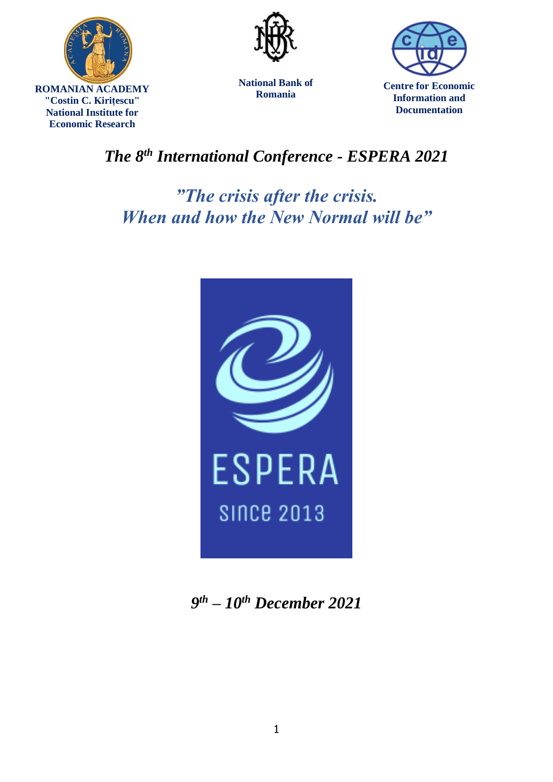





**National Bank of Romania**

**Centre for Economic Information and Documentation**

## *The 8th International Conference - ESPERA 2021*

*"The crisis after the crisis. When and how the New Normal will be"*



*9 th – 10th December 2021*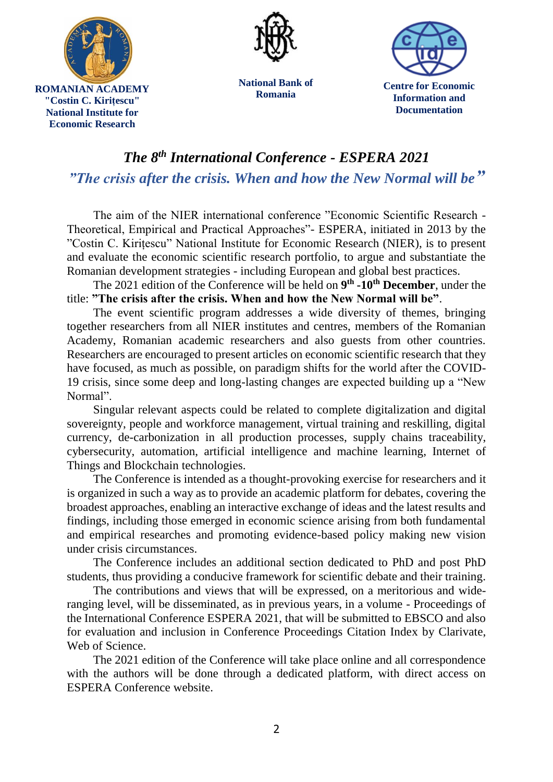

**National Bank of Romania**

**Centre for Economic Information and Documentation**

## *The 8th International Conference - ESPERA 2021 "The crisis after the crisis. When and how the New Normal will be"*

The aim of the NIER international conference "Economic Scientific Research - Theoretical, Empirical and Practical Approaches"- ESPERA, initiated in 2013 by the "Costin C. Kirițescu" National Institute for Economic Research (NIER), is to present and evaluate the economic scientific research portfolio, to argue and substantiate the Romanian development strategies - including European and global best practices.

The 2021 edition of the Conference will be held on **9 th -10th December**, under the title: **"The crisis after the crisis. When and how the New Normal will be"**.

The event scientific program addresses a wide diversity of themes, bringing together researchers from all NIER institutes and centres, members of the Romanian Academy, Romanian academic researchers and also guests from other countries. Researchers are encouraged to present articles on economic scientific research that they have focused, as much as possible, on paradigm shifts for the world after the COVID-19 crisis, since some deep and long-lasting changes are expected building up a "New Normal".

Singular relevant aspects could be related to complete digitalization and digital sovereignty, people and workforce management, virtual training and reskilling, digital currency, de-carbonization in all production processes, supply chains traceability, cybersecurity, automation, artificial intelligence and machine learning, Internet of Things and Blockchain technologies.

The Conference is intended as a thought-provoking exercise for researchers and it is organized in such a way as to provide an academic platform for debates, covering the broadest approaches, enabling an interactive exchange of ideas and the latest results and findings, including those emerged in economic science arising from both fundamental and empirical researches and promoting evidence-based policy making new vision under crisis circumstances.

The Conference includes an additional section dedicated to PhD and post PhD students, thus providing a conducive framework for scientific debate and their training.

The contributions and views that will be expressed, on a meritorious and wideranging level, will be disseminated, as in previous years, in a volume - Proceedings of the International Conference ESPERA 2021, that will be submitted to EBSCO and also for evaluation and inclusion in Conference Proceedings Citation Index by Clarivate, Web of Science.

The 2021 edition of the Conference will take place online and all correspondence with the authors will be done through a dedicated platform, with direct access on ESPERA Conference website.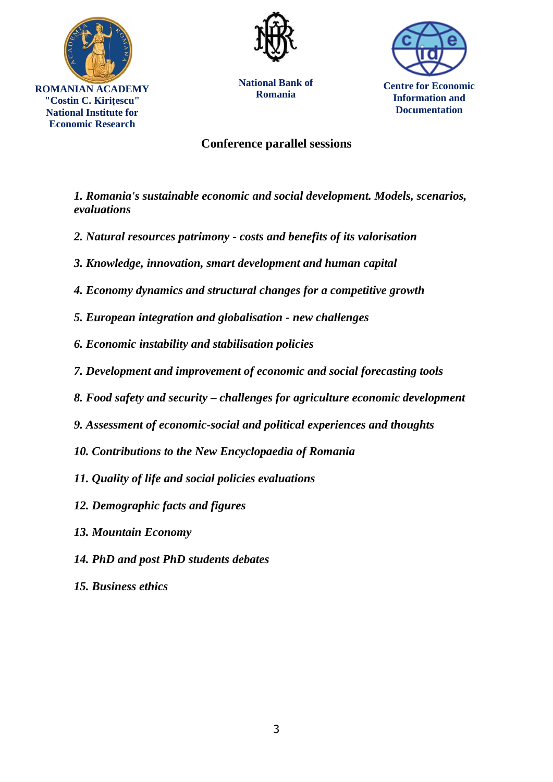



**National Bank of Romania**



**Centre for Economic Information and Documentation**

## **Conference parallel sessions**

*1. Romania's sustainable economic and social development. Models, scenarios, evaluations*

- *2. Natural resources patrimony - costs and benefits of its valorisation*
- *3. Knowledge, innovation, smart development and human capital*
- *4. Economy dynamics and structural changes for a competitive growth*
- *5. European integration and globalisation - new challenges*
- *6. Economic instability and stabilisation policies*
- *7. Development and improvement of economic and social forecasting tools*
- *8. Food safety and security – challenges for agriculture economic development*
- *9. Assessment of economic-social and political experiences and thoughts*
- *10. Contributions to the New Encyclopaedia of Romania*
- *11. Quality of life and social policies evaluations*
- *12. Demographic facts and figures*
- *13. Mountain Economy*
- *14. PhD and post PhD students debates*
- *15. Business ethics*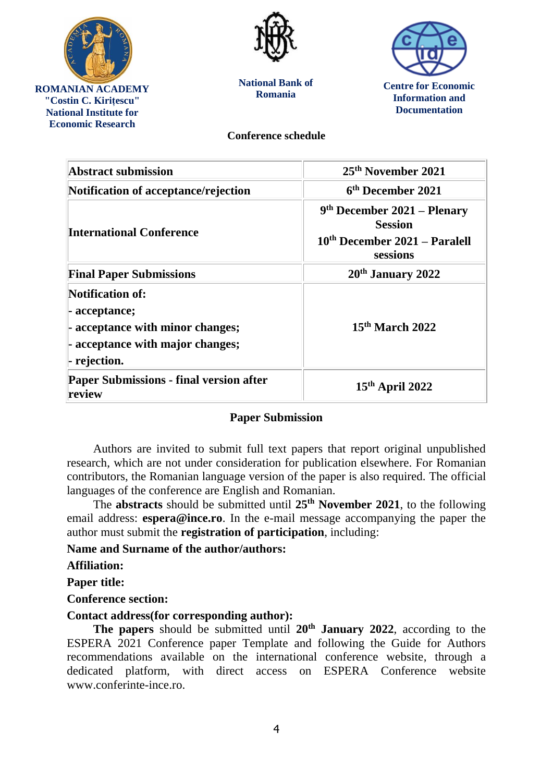

**"Costin C. Kirițescu" National Institute for Economic Research**



**National Bank of Romania**



**Centre for Economic Information and Documentation**

**Conference schedule**

| <b>Abstract submission</b>                                                                                                       | 25 <sup>th</sup> November 2021                                                               |
|----------------------------------------------------------------------------------------------------------------------------------|----------------------------------------------------------------------------------------------|
| Notification of acceptance/rejection                                                                                             | 6 <sup>th</sup> December 2021                                                                |
| <b>International Conference</b>                                                                                                  | $9th$ December 2021 – Plenary<br><b>Session</b><br>10th December 2021 - Paralell<br>sessions |
| <b>Final Paper Submissions</b>                                                                                                   | $20th$ January 2022                                                                          |
| <b>Notification of:</b><br>- acceptance;<br>- acceptance with minor changes;<br>- acceptance with major changes;<br>- rejection. | $15th$ March 2022                                                                            |
| <b>Paper Submissions - final version after</b><br>review                                                                         | $15th$ April 2022                                                                            |

## **Paper Submission**

Authors are invited to submit full text papers that report original unpublished research, which are not under consideration for publication elsewhere. For Romanian contributors, the Romanian language version of the paper is also required. The official languages of the conference are English and Romanian.

The **abstracts** should be submitted until **25th November 2021**, to the following email address: **[espera@ince.ro](mailto:espera@ince.ro)**. In the e-mail message accompanying the paper the author must submit the **registration of participation**, including:

**Name and Surname of the author/authors:**

**Affiliation:**

**Paper title:**

**Conference section:**

**Contact address(for corresponding author):**

**The papers** should be submitted until **20th January 2022**, according to th[e](http://www.conferinte-ince.ro/ESPERA_2016_Template.docx) ESPERA 2021 [Conference paper Template](http://www.conferinte-ince.ro/ESPERA_2016_Template.docx) and following the Guide for Authors recommendations available on the international conference website, through a dedicated platform, with direct access on ESPERA Conference website www.conferinte-ince.ro.